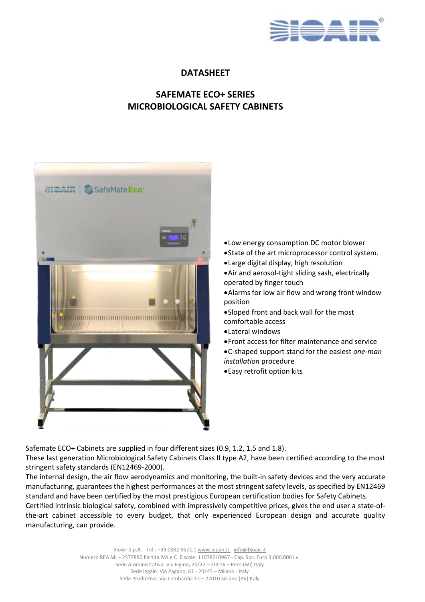

## **DATASHEET**

# **SAFEMATE ECO+ SERIES MICROBIOLOGICAL SAFETY CABINETS**



- •Low energy consumption DC motor blower
- •State of the art microprocessor control system.
- •Large digital display, high resolution
- •Air and aerosol-tight sliding sash, electrically operated by finger touch
- •Alarms for low air flow and wrong front window position
- •Sloped front and back wall for the most comfortable access
- •Lateral windows
- •Front access for filter maintenance and service
- •C-shaped support stand for the easiest *one-man installation* procedure
- •Easy retrofit option kits

Safemate ECO+ Cabinets are supplied in four different sizes (0.9, 1.2, 1.5 and 1.8).

These last generation Microbiological Safety Cabinets Class II type A2, have been certified according to the most stringent safety standards (EN12469-2000).

The internal design, the air flow aerodynamics and monitoring, the built-in safety devices and the very accurate manufacturing, guarantees the highest performances at the most stringent safety levels, as specified by EN12469 standard and have been certified by the most prestigious European certification bodies for Safety Cabinets.

Certified intrinsic biological safety, combined with impressively competitive prices, gives the end user a state-ofthe-art cabinet accessible to every budget, that only experienced European design and accurate quality manufacturing, can provide.

> BioAir S.p.A. - Tel.: +39 0382 6672.1 www.bioair.it - [info@bioair.it](mailto:info@bioair.it) Numero REA MI – 2577880 Partita IVA e C. Fiscale: 11078210967 - Cap. Soc. Euro 3.000.000 i.v. Sede Amministrativa: Via Figino, 20/22 – 20016 – Pero (MI) Italy Sede legale: Via Pagano, 61 - 20145 – Milano - Italy Sede Produttiva: Via Lombardia 12 – 27010 Siziano (PV) Italy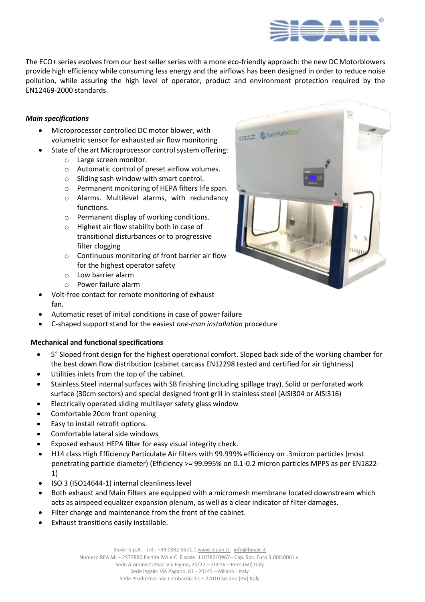

The ECO+ series evolves from our best seller series with a more eco-friendly approach: the new DC Motorblowers provide high efficiency while consuming less energy and the airflows has been designed in order to reduce noise pollution, while assuring the high level of operator, product and environment protection required by the EN12469-2000 standards.

### *Main specifications*

- Microprocessor controlled DC motor blower, with volumetric sensor for exhausted air flow monitoring
	- State of the art Microprocessor control system offering:
		- o Large screen monitor.
		- o Automatic control of preset airflow volumes.
		- o Sliding sash window with smart control.
		- o Permanent monitoring of HEPA filters life span.
		- o Alarms. Multilevel alarms, with redundancy functions.
		- o Permanent display of working conditions.
		- o Highest air flow stability both in case of transitional disturbances or to progressive filter clogging
		- o Continuous monitoring of front barrier air flow for the highest operator safety
		- o Low barrier alarm
		- o Power failure alarm
- Volt-free contact for remote monitoring of exhaust fan.
- Automatic reset of initial conditions in case of power failure
- C-shaped support stand for the easiest *one-man installation* procedure

## **Mechanical and functional specifications**

- 5° Sloped front design for the highest operational comfort. Sloped back side of the working chamber for the best down flow distribution (cabinet carcass EN12298 tested and certified for air tightness)
- Utilities inlets from the top of the cabinet.
- Stainless Steel internal surfaces with SB finishing (including spillage tray). Solid or perforated work surface (30cm sectors) and special designed front grill in stainless steel (AISI304 or AISI316)
- Electrically operated sliding multilayer safety glass window
- Comfortable 20cm front opening
- Easy to install retrofit options.
- Comfortable lateral side windows
- Exposed exhaust HEPA filter for easy visual integrity check.
- H14 class High Efficiency Particulate Air filters with 99.999% efficiency on .3micron particles (most penetrating particle diameter) (Efficiency >= 99.995% on 0.1-0.2 micron particles MPPS as per EN1822- 1)
- ISO 3 (ISO14644-1) internal cleanliness level
- Both exhaust and Main Filters are equipped with a micromesh membrane located downstream which acts as airspeed equalizer expansion plenum, as well as a clear indicator of filter damages.
- Filter change and maintenance from the front of the cabinet.
- Exhaust transitions easily installable.

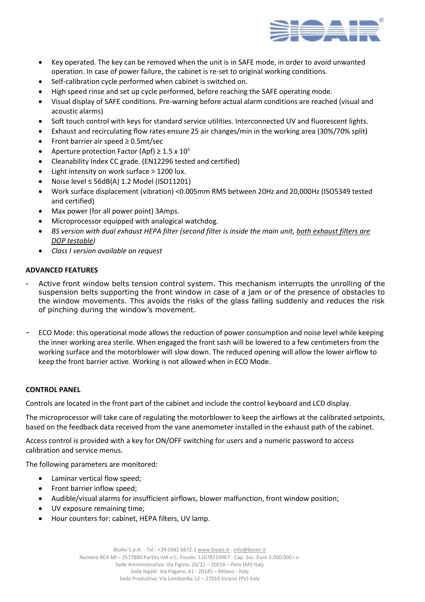

- Key operated. The key can be removed when the unit is in SAFE mode, in order to avoid unwanted operation. In case of power failure, the cabinet is re-set to original working conditions.
- Self-calibration cycle performed when cabinet is switched on.
- High speed rinse and set up cycle performed, before reaching the SAFE operating mode.
- Visual display of SAFE conditions. Pre-warning before actual alarm conditions are reached (visual and acoustic alarms)
- Soft touch control with keys for standard service utilities. Interconnected UV and fluorescent lights.
- Exhaust and recirculating flow rates ensure 25 air changes/min in the working area (30%/70% split)
- Front barrier air speed ≥ 0.5mt/sec
- Aperture protection Factor (Apf)  $\geq 1.5 \times 10^5$
- Cleanability Index CC grade. (EN12296 tested and certified)
- Light intensity on work surface > 1200 lux.
- Noise level ≤ 56dB(A) 1.2 Model (ISO11201)
- Work surface displacement (vibration) <0.005mm RMS between 20Hz and 20,000Hz (ISO5349 tested and certified)
- Max power (for all power point) 3Amps.
- Microprocessor equipped with analogical watchdog.
- *BS version with dual exhaust HEPA filter (second filter is inside the main unit, both exhaust filters are DOP testable)*
- *Class I version available on request*

#### **ADVANCED FEATURES**

- Active front window belts tension control system. This mechanism interrupts the unrolling of the suspension belts supporting the front window in case of a jam or of the presence of obstacles to the window movements. This avoids the risks of the glass falling suddenly and reduces the risk of pinching during the window's movement.
- ECO Mode: this operational mode allows the reduction of power consumption and noise level while keeping the inner working area sterile. When engaged the front sash will be lowered to a few centimeters from the working surface and the motorblower will slow down. The reduced opening will allow the lower airflow to keep the front barrier active. Working is not allowed when in ECO Mode.

#### **CONTROL PANEL**

Controls are located in the front part of the cabinet and include the control keyboard and LCD display.

The microprocessor will take care of regulating the motorblower to keep the airflows at the calibrated setpoints, based on the feedback data received from the vane anemometer installed in the exhaust path of the cabinet.

Access control is provided with a key for ON/OFF switching for users and a numeric password to access calibration and service menus.

The following parameters are monitored:

- Laminar vertical flow speed;
- Front barrier inflow speed;
- Audible/visual alarms for insufficient airflows, blower malfunction, front window position;
- UV exposure remaining time;
- Hour counters for: cabinet, HEPA filters, UV lamp.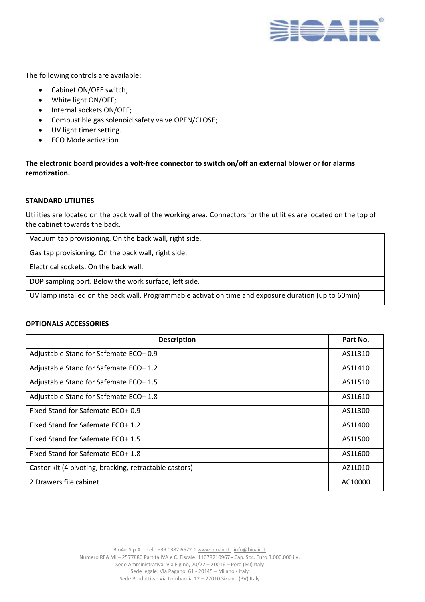

The following controls are available:

- Cabinet ON/OFF switch;
- White light ON/OFF;
- Internal sockets ON/OFF;
- Combustible gas solenoid safety valve OPEN/CLOSE;
- UV light timer setting.
- ECO Mode activation

**The electronic board provides a volt-free connector to switch on/off an external blower or for alarms remotization.**

#### **STANDARD UTILITIES**

Utilities are located on the back wall of the working area. Connectors for the utilities are located on the top of the cabinet towards the back.

Vacuum tap provisioning. On the back wall, right side.

Gas tap provisioning. On the back wall, right side.

Electrical sockets. On the back wall.

DOP sampling port. Below the work surface, left side.

UV lamp installed on the back wall. Programmable activation time and exposure duration (up to 60min)

#### **OPTIONALS ACCESSORIES**

| <b>Description</b>                                     | Part No. |
|--------------------------------------------------------|----------|
| Adjustable Stand for Safemate ECO+ 0.9                 | AS1L310  |
| Adjustable Stand for Safemate ECO+ 1.2                 | AS1L410  |
| Adjustable Stand for Safemate ECO+ 1.5                 | AS1L510  |
| Adjustable Stand for Safemate ECO+ 1.8                 | AS1L610  |
| Fixed Stand for Safemate ECO+ 0.9                      | AS1L300  |
| Fixed Stand for Safemate ECO+ 1.2                      | AS1L400  |
| Fixed Stand for Safemate ECO+ 1.5                      | AS1L500  |
| Fixed Stand for Safemate ECO+ 1.8                      | AS1L600  |
| Castor kit (4 pivoting, bracking, retractable castors) | AZ1L010  |
| 2 Drawers file cabinet                                 | AC10000  |